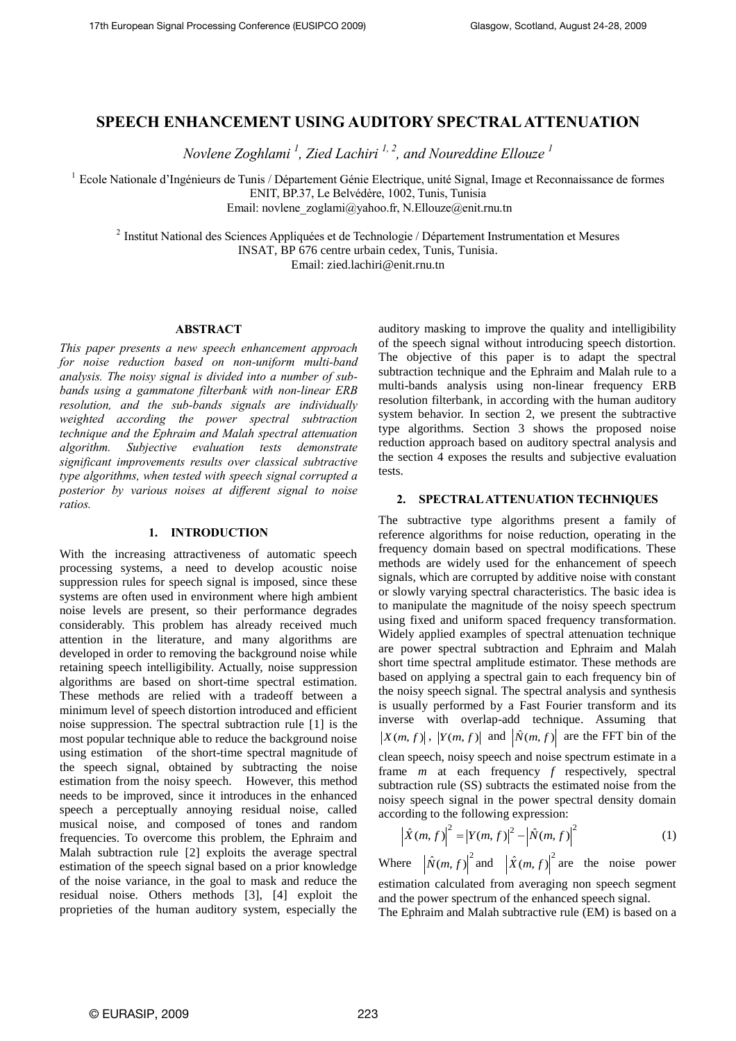# **SPEECH ENHANCEMENT USING AUDITORY SPECTRAL ATTENUATION**

*Novlene Zoghlami <sup>1</sup> , Zied Lachiri 1, 2, and Noureddine Ellouze <sup>1</sup>*

<sup>1</sup> Ecole Nationale d'Ingénieurs de Tunis / Département Génie Electrique, unité Signal, Image et Reconnaissance de formes ENIT, BP.37, Le Belvédère, 1002, Tunis, Tunisia

Email: [novlene\\_zoglami@yahoo.fr,](mailto:novlene_zoglami@yahoo.fr) [N.Ellouze@enit.rnu.tn](mailto:N.Ellouze@enit.rnu.tn)

<sup>2</sup> Institut National des Sciences Appliquées et de Technologie / Département Instrumentation et Mesures INSAT, BP 676 centre urbain cedex, Tunis, Tunisia. Email[: zied.lachiri@enit.rnu.tn](mailto:zied.lachiri@enit.rnu.tn)

#### **ABSTRACT**

*This paper presents a new speech enhancement approach for noise reduction based on non-uniform multi-band analysis. The noisy signal is divided into a number of subbands using a gammatone filterbank with non-linear ERB resolution, and the sub-bands signals are individually weighted according the power spectral subtraction technique and the Ephraim and Malah spectral attenuation algorithm. Subjective evaluation tests demonstrate significant improvements results over classical subtractive type algorithms, when tested with speech signal corrupted a posterior by various noises at different signal to noise ratios.* 

### **1. INTRODUCTION**

With the increasing attractiveness of automatic speech processing systems, a need to develop acoustic noise suppression rules for speech signal is imposed, since these systems are often used in environment where high ambient noise levels are present, so their performance degrades considerably. This problem has already received much attention in the literature, and many algorithms are developed in order to removing the background noise while retaining speech intelligibility. Actually, noise suppression algorithms are based on short-time spectral estimation. These methods are relied with a tradeoff between a minimum level of speech distortion introduced and efficient noise suppression. The spectral subtraction rule [1] is the most popular technique able to reduce the background noise using estimation of the short-time spectral magnitude of the speech signal, obtained by subtracting the noise estimation from the noisy speech. However, this method needs to be improved, since it introduces in the enhanced speech a perceptually annoying residual noise, called musical noise, and composed of tones and random frequencies. To overcome this problem, the Ephraim and Malah subtraction rule [2] exploits the average spectral estimation of the speech signal based on a prior knowledge of the noise variance, in the goal to mask and reduce the residual noise. Others methods [3], [4] exploit the proprieties of the human auditory system, especially the auditory masking to improve the quality and intelligibility of the speech signal without introducing speech distortion. The objective of this paper is to adapt the spectral subtraction technique and the Ephraim and Malah rule to a multi-bands analysis using non-linear frequency ERB resolution filterbank, in according with the human auditory system behavior. In section 2, we present the subtractive type algorithms. Section 3 shows the proposed noise reduction approach based on auditory spectral analysis and the section 4 exposes the results and subjective evaluation tests.

### **2. SPECTRAL ATTENUATION TECHNIQUES**

The subtractive type algorithms present a family of reference algorithms for noise reduction, operating in the frequency domain based on spectral modifications. These methods are widely used for the enhancement of speech signals, which are corrupted by additive noise with constant or slowly varying spectral characteristics. The basic idea is to manipulate the magnitude of the noisy speech spectrum using fixed and uniform spaced frequency transformation. Widely applied examples of spectral attenuation technique are power spectral subtraction and Ephraim and Malah short time spectral amplitude estimator. These methods are based on applying a spectral gain to each frequency bin of the noisy speech signal. The spectral analysis and synthesis is usually performed by a Fast Fourier transform and its inverse with overlap-add technique. Assuming that  $X(m, f)$ ,  $|Y(m, f)|$  and  $|\hat{N}(m, f)|$  are the FFT bin of the clean speech, noisy speech and noise spectrum estimate in a frame *m* at each frequency *f* respectively, spectral subtraction rule (SS) subtracts the estimated noise from the noisy speech signal in the power spectral density domain

according to the following expression:  
\n
$$
\left| \hat{X}(m, f) \right|^2 = \left| Y(m, f) \right|^2 - \left| \hat{N}(m, f) \right|^2 \tag{1}
$$

Where  $\left|\hat{N}(m, f)\right|^2$  and  $\left|\hat{X}(m, f)\right|^2$  are the noise power

estimation calculated from averaging non speech segment and the power spectrum of the enhanced speech signal.

The Ephraim and Malah subtractive rule (EM) is based on a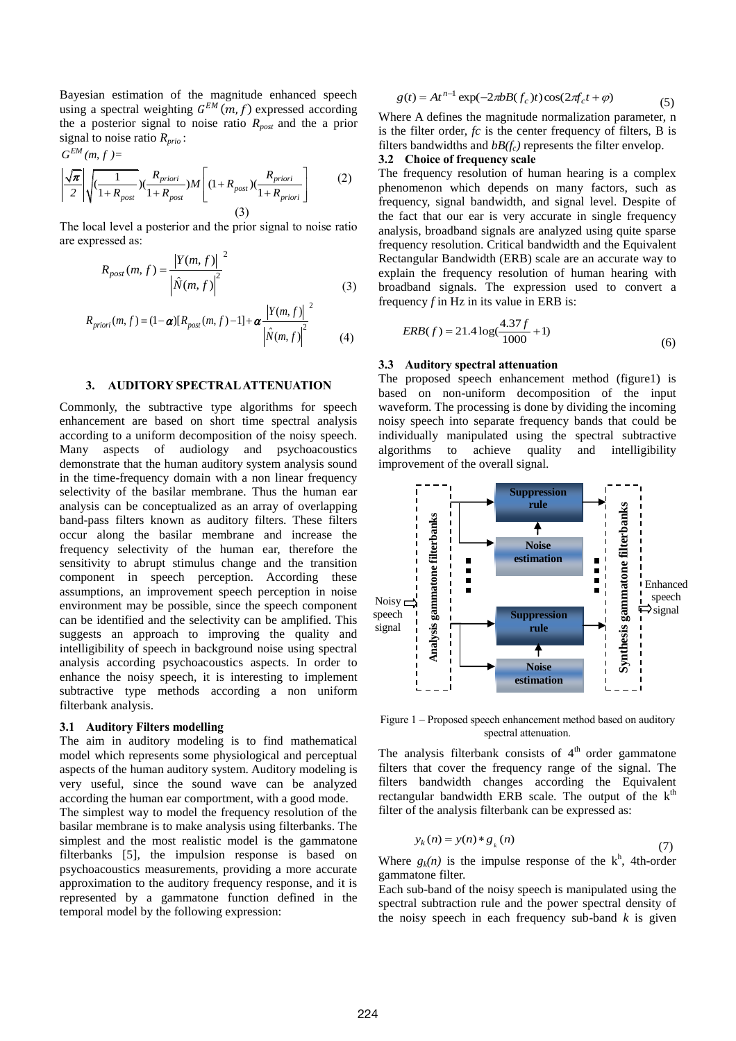Bayesian estimation of the magnitude enhanced speech using a spectral weighting  $G^{EM}(m, f)$  expressed according the a posterior signal to noise ratio *Rpost* and the a prior signal to noise ratio  $R_{prio}$ :<br> $G^{EM}(m, f) =$ 

$$
G^{EM}(m, f) =
$$
\n
$$
\left| \frac{\sqrt{\pi}}{2} \right| \sqrt{\left( \frac{1}{1 + R_{post}} \right) \left( \frac{R_{priori}}{1 + R_{post}} \right) M \left[ \left( 1 + R_{post} \right) \left( \frac{R_{priori}}{1 + R_{priori}} \right] \right]}
$$
\n(3)

 The local level a posterior and the prior signal to noise ratio are expressed as:

$$
R_{post}(m, f) = \frac{|Y(m, f)|^2}{|\hat{N}(m, f)|^2}
$$
 (3)

$$
R_{priori}(m, f) = (1 - \alpha) [R_{post}(m, f) - 1] + \alpha \frac{|Y(m, f)|^2}{|\hat{N}(m, f)|^2}
$$
(4)

### **3. AUDITORY SPECTRAL ATTENUATION**

Commonly, the subtractive type algorithms for speech enhancement are based on short time spectral analysis according to a uniform decomposition of the noisy speech. Many aspects of audiology and psychoacoustics demonstrate that the human auditory system analysis sound in the time-frequency domain with a non linear frequency selectivity of the basilar membrane. Thus the human ear analysis can be conceptualized as an array of overlapping band-pass filters known as auditory filters. These filters occur along the basilar membrane and increase the frequency selectivity of the human ear, therefore the sensitivity to abrupt stimulus change and the transition component in speech perception. According these assumptions, an improvement speech perception in noise environment may be possible, since the speech component can be identified and the selectivity can be amplified. This suggests an approach to improving the quality and intelligibility of speech in background noise using spectral analysis according psychoacoustics aspects. In order to enhance the noisy speech, it is interesting to implement subtractive type methods according a non uniform filterbank analysis.

### **3.1 Auditory Filters modelling**

The aim in auditory modeling is to find mathematical model which represents some physiological and perceptual aspects of the human auditory system. Auditory modeling is very useful, since the sound wave can be analyzed according the human ear comportment, with a good mode.

The simplest way to model the frequency resolution of the basilar membrane is to make analysis using filterbanks. The simplest and the most realistic model is the gammatone filterbanks [5], the impulsion response is based on psychoacoustics measurements, providing a more accurate approximation to the auditory frequency response, and it is represented by a gammatone function defined in the temporal model by the following expression:

$$
g(t) = Atn-1 \exp(-2\pi b B(f_c)t) \cos(2\pi f_c t + \varphi)
$$
 (5)

Where A defines the magnitude normalization parameter, n is the filter order, *fc* is the center frequency of filters, B is filters bandwidths and *bB(fc)* represents the filter envelop.

## **3.2 Choice of frequency scale**

(2)

The frequency resolution of human hearing is a complex phenomenon which depends on many factors, such as frequency, signal bandwidth, and signal level. Despite of the fact that our ear is very accurate in single frequency analysis, broadband signals are analyzed using quite sparse frequency resolution. Critical bandwidth and the Equivalent Rectangular Bandwidth (ERB) scale are an accurate way to explain the frequency resolution of human hearing with broadband signals. The expression used to convert a frequency *f* in Hz in its value in ERB is:

$$
ERB(f) = 21.4 \log(\frac{4.37f}{1000} + 1)
$$
\n(6)

### **3.3 Auditory spectral attenuation**

The proposed speech enhancement method (figure1) is based on non-uniform decomposition of the input waveform. The processing is done by dividing the incoming noisy speech into separate frequency bands that could be individually manipulated using the spectral subtractive algorithms to achieve quality and intelligibility improvement of the overall signal.



Figure 1 – Proposed speech enhancement method based on auditory spectral attenuation.

The analysis filterbank consists of  $4<sup>th</sup>$  order gammatone filters that cover the frequency range of the signal. The filters bandwidth changes according the Equivalent rectangular bandwidth ERB scale. The output of the  $k<sup>th</sup>$ filter of the analysis filterbank can be expressed as:

$$
y_k(n) = y(n) * g_k(n)
$$
\n(7)

Where  $g_k(n)$  is the impulse response of the  $k^h$ , 4th-order gammatone filter.

Each sub-band of the noisy speech is manipulated using the spectral subtraction rule and the power spectral density of the noisy speech in each frequency sub-band  $k$  is given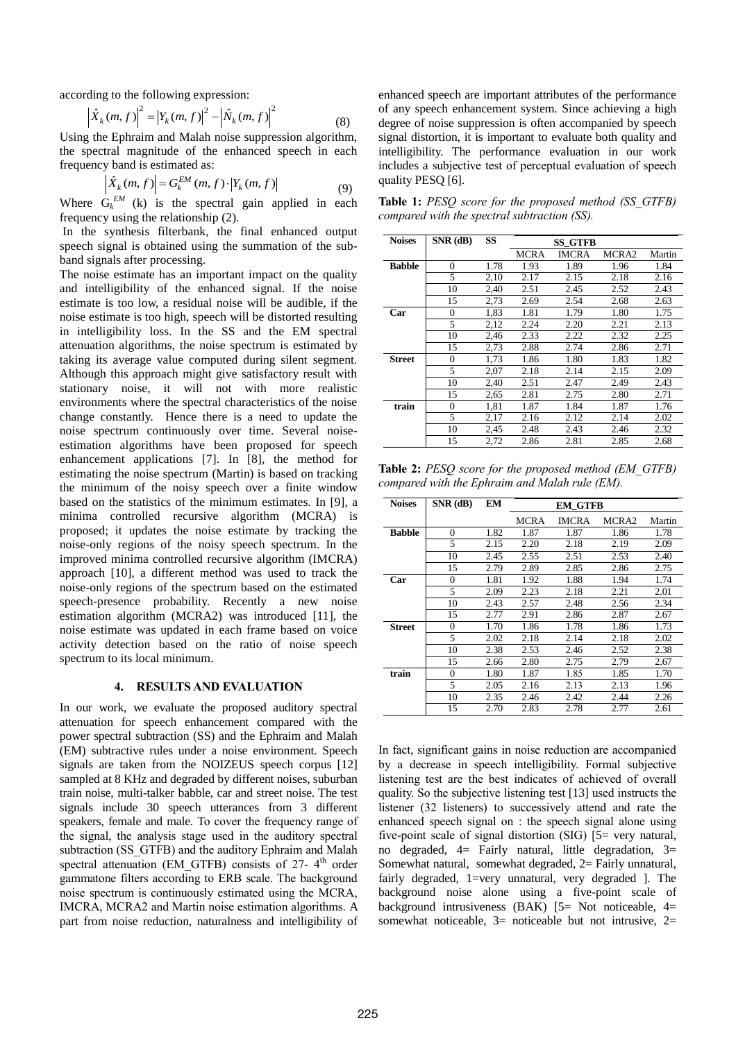J

according to the following expression:  
\n
$$
\left| \hat{X}_k(m, f) \right|^2 = \left| Y_k(m, f) \right|^2 - \left| \hat{N}_k(m, f) \right|^2
$$
\n(8)

Using the Ephraim and Malah noise suppression algorithm, the spectral magnitude of the enhanced speech in each

frequency band is estimated as:  
\n
$$
\left| \hat{X}_k(m, f) \right| = G_k^{EM}(m, f) \cdot \left| Y_k(m, f) \right|
$$
\n(9)

Where  $G_k^{EM}$  (k) is the spectral gain applied in each frequency using the relationship (2).

In the synthesis filterbank, the final enhanced output speech signal is obtained using the summation of the subband signals after processing.

The noise estimate has an important impact on the quality and intelligibility of the enhanced signal. If the noise estimate is too low, a residual noise will be audible, if the noise estimate is too high, speech will be distorted resulting in intelligibility loss. In the SS and the EM spectral attenuation algorithms, the noise spectrum is estimated by taking its average value computed during silent segment. Although this approach might give satisfactory result with stationary noise, it will not with more realistic environments where the spectral characteristics of the noise change constantly. Hence there is a need to update the noise spectrum continuously over time. Several noiseestimation algorithms have been proposed for speech enhancement applications [7]. In [8], the method for estimating the noise spectrum (Martin) is based on tracking the minimum of the noisy speech over a finite window based on the statistics of the minimum estimates. In [9], a minima controlled recursive algorithm (MCRA) is proposed; it updates the noise estimate by tracking the noise-only regions of the noisy speech spectrum. In the improved minima controlled recursive algorithm (IMCRA) approach [10], a different method was used to track the noise-only regions of the spectrum based on the estimated speech-presence probability. Recently a new noise estimation algorithm (MCRA2) was introduced [11], the noise estimate was updated in each frame based on voice activity detection based on the ratio of noise speech spectrum to its local minimum.

### **4. RESULTS AND EVALUATION**

In our work, we evaluate the proposed auditory spectral attenuation for speech enhancement compared with the power spectral subtraction (SS) and the Ephraim and Malah (EM) subtractive rules under a noise environment. Speech signals are taken from the NOIZEUS speech corpus [12] sampled at 8 KHz and degraded by different noises, suburban train noise, multi-talker babble, car and street noise. The test signals include 30 speech utterances from 3 different speakers, female and male. To cover the frequency range of the signal, the analysis stage used in the auditory spectral subtraction (SS GTFB) and the auditory Ephraim and Malah spectral attenuation (EM\_GTFB) consists of 27- 4<sup>th</sup> order gammatone filters according to ERB scale. The background noise spectrum is continuously estimated using the MCRA, IMCRA, MCRA2 and Martin noise estimation algorithms. A part from noise reduction, naturalness and intelligibility of

enhanced speech are important attributes of the performance of any speech enhancement system. Since achieving a high degree of noise suppression is often accompanied by speech signal distortion, it is important to evaluate both quality and intelligibility. The performance evaluation in our work includes a subjective test of perceptual evaluation of speech quality PESQ [6].

**Table 1:** *PESQ score for the proposed method (SS\_GTFB) compared with the spectral subtraction (SS).*

| <b>Noises</b> | $SNR$ (dB)     | <b>SS</b> |             | <b>SS_GTFB</b> |       |        |
|---------------|----------------|-----------|-------------|----------------|-------|--------|
|               |                |           | <b>MCRA</b> | <b>IMCRA</b>   | MCRA2 | Martin |
| <b>Babble</b> | $\overline{0}$ | 1.78      | 1.93        | 1.89           | 1.96  | 1.84   |
|               | 5              | 2,10      | 2.17        | 2.15           | 2.18  | 2.16   |
|               | 10             | 2,40      | 2.51        | 2.45           | 2.52  | 2.43   |
|               | 15             | 2,73      | 2.69        | 2.54           | 2.68  | 2.63   |
| Car           | $\Omega$       | 1,83      | 1.81        | 1.79           | 1.80  | 1.75   |
|               | 5              | 2,12      | 2.24        | 2.20           | 2.21  | 2.13   |
|               | 10             | 2,46      | 2.33        | 2.22           | 2.32  | 2.25   |
|               | 15             | 2,73      | 2.88        | 2.74           | 2.86  | 2.71   |
| Street        | $\theta$       | 1,73      | 1.86        | 1.80           | 1.83  | 1.82   |
|               | 5              | 2,07      | 2.18        | 2.14           | 2.15  | 2.09   |
|               | 10             | 2,40      | 2.51        | 2.47           | 2.49  | 2.43   |
|               | 15             | 2,65      | 2.81        | 2.75           | 2.80  | 2.71   |
| train         | $\Omega$       | 1,81      | 1.87        | 1.84           | 1.87  | 1.76   |
|               | 5              | 2,17      | 2.16        | 2.12           | 2.14  | 2.02   |
|               | 10             | 2,45      | 2.48        | 2.43           | 2.46  | 2.32   |
|               | 15             | 2,72      | 2.86        | 2.81           | 2.85  | 2.68   |

**Table 2:** *PESQ score for the proposed method (EM\_GTFB) compared with the Ephraim and Malah rule (EM).*

| <b>Noises</b> | $SNR$ (dB) | EМ   |      |              |       |        |
|---------------|------------|------|------|--------------|-------|--------|
|               |            |      | MCRA | <b>IMCRA</b> | MCRA2 | Martin |
| <b>Babble</b> | $\theta$   | 1.82 | 1.87 | 1.87         | 1.86  | 1.78   |
|               | 5          | 2.15 | 2.20 | 2.18         | 2.19  | 2.09   |
|               | 10         | 2.45 | 2.55 | 2.51         | 2.53  | 2.40   |
|               | 15         | 2.79 | 2.89 | 2.85         | 2.86  | 2.75   |
| Car           | $\theta$   | 1.81 | 1.92 | 1.88         | 1.94  | 1.74   |
|               | 5          | 2.09 | 2.23 | 2.18         | 2.21  | 2.01   |
|               | 10         | 2.43 | 2.57 | 2.48         | 2.56  | 2.34   |
|               | 15         | 2.77 | 2.91 | 2.86         | 2.87  | 2.67   |
| <b>Street</b> | $\theta$   | 1.70 | 1.86 | 1.78         | 1.86  | 1.73   |
|               | 5          | 2.02 | 2.18 | 2.14         | 2.18  | 2.02   |
|               | 10         | 2.38 | 2.53 | 2.46         | 2.52  | 2.38   |
|               | 15         | 2.66 | 2.80 | 2.75         | 2.79  | 2.67   |
| train         | $\Omega$   | 1.80 | 1.87 | 1.85         | 1.85  | 1.70   |
|               | 5          | 2.05 | 2.16 | 2.13         | 2.13  | 1.96   |
|               | 10         | 2.35 | 2.46 | 2.42         | 2.44  | 2.26   |
|               | 15         | 2.70 | 2.83 | 2.78         | 2.77  | 2.61   |

In fact, significant gains in noise reduction are accompanied by a decrease in speech intelligibility. Formal subjective listening test are the best indicates of achieved of overall quality. So the subjective listening test [13] used instructs the listener (32 listeners) to successively attend and rate the enhanced speech signal on : the speech signal alone using five-point scale of signal distortion (SIG) [5= very natural, no degraded,  $4=$  Fairly natural, little degradation,  $3=$ Somewhat natural, somewhat degraded, 2= Fairly unnatural, fairly degraded, 1=very unnatural, very degraded ]. The background noise alone using a five-point scale of background intrusiveness (BAK) [5= Not noticeable, 4= somewhat noticeable,  $3=$  noticeable but not intrusive,  $2=$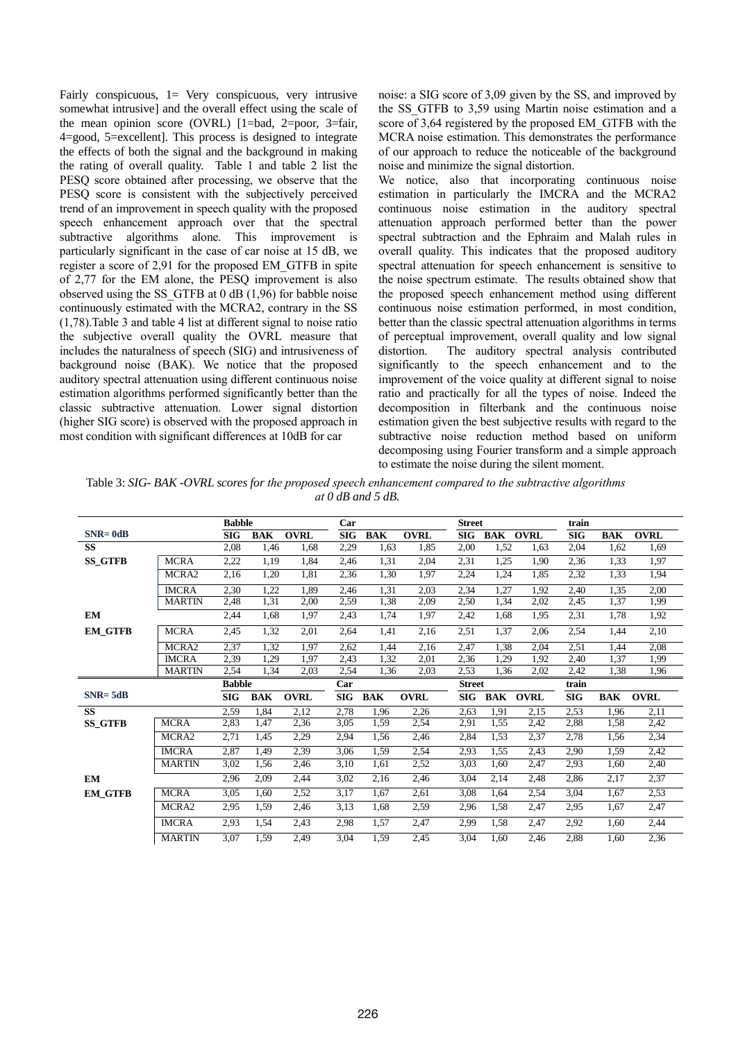Fairly conspicuous, 1= Very conspicuous, very intrusive somewhat intrusive] and the overall effect using the scale of the mean opinion score (OVRL) [1=bad, 2=poor, 3=fair, 4=good, 5=excellent]. This process is designed to integrate the effects of both the signal and the background in making the rating of overall quality. Table 1 and table 2 list the PESQ score obtained after processing, we observe that the PESQ score is consistent with the subjectively perceived trend of an improvement in speech quality with the proposed speech enhancement approach over that the spectral subtractive algorithms alone. This improvement is particularly significant in the case of car noise at 15 dB, we register a score of 2,91 for the proposed EM\_GTFB in spite of 2,77 for the EM alone, the PESQ improvement is also observed using the SS\_GTFB at 0 dB (1,96) for babble noise continuously estimated with the MCRA2, contrary in the SS (1,78).Table 3 and table 4 list at different signal to noise ratio the subjective overall quality the OVRL measure that includes the naturalness of speech (SIG) and intrusiveness of background noise (BAK). We notice that the proposed auditory spectral attenuation using different continuous noise estimation algorithms performed significantly better than the classic subtractive attenuation. Lower signal distortion (higher SIG score) is observed with the proposed approach in most condition with significant differences at 10dB for car

noise: a SIG score of 3,09 given by the SS, and improved by the SS GTFB to 3,59 using Martin noise estimation and a score of 3,64 registered by the proposed EM\_GTFB with the MCRA noise estimation. This demonstrates the performance of our approach to reduce the noticeable of the background noise and minimize the signal distortion.

We notice, also that incorporating continuous noise estimation in particularly the IMCRA and the MCRA2 continuous noise estimation in the auditory spectral attenuation approach performed better than the power spectral subtraction and the Ephraim and Malah rules in overall quality. This indicates that the proposed auditory spectral attenuation for speech enhancement is sensitive to the noise spectrum estimate. The results obtained show that the proposed speech enhancement method using different continuous noise estimation performed, in most condition, better than the classic spectral attenuation algorithms in terms of perceptual improvement, overall quality and low signal distortion. The auditory spectral analysis contributed significantly to the speech enhancement and to the improvement of the voice quality at different signal to noise ratio and practically for all the types of noise. Indeed the decomposition in filterbank and the continuous noise estimation given the best subjective results with regard to the subtractive noise reduction method based on uniform decomposing using Fourier transform and a simple approach to estimate the noise during the silent moment.

Table 3: *SIG- BAK -OVRL scores for the proposed speech enhancement compared to the subtractive algorithms at 0 dB and 5 dB.*

|                |                   | <b>Babble</b> |            |             | Car            |            |             | <b>Street</b>  |                 |             | train      |            |             |
|----------------|-------------------|---------------|------------|-------------|----------------|------------|-------------|----------------|-----------------|-------------|------------|------------|-------------|
| $SNR = 0dB$    |                   | <b>SIG</b>    | <b>BAK</b> | <b>OVRL</b> | $\mathbf{SIG}$ | <b>BAK</b> | <b>OVRL</b> | $\mathbf{SIG}$ | <b>BAK OVRL</b> |             | <b>SIG</b> | <b>BAK</b> | <b>OVRL</b> |
| <b>SS</b>      |                   | 2,08          | 1,46       | 1,68        | 2,29           | 1,63       | 1,85        | 2,00           | 1,52            | 1,63        | 2,04       | 1,62       | 1,69        |
| <b>SS_GTFB</b> | <b>MCRA</b>       | 2,22          | 1,19       | 1,84        | 2,46           | 1,31       | 2,04        | 2,31           | 1,25            | 1.90        | 2,36       | 1,33       | 1,97        |
|                | MCRA2             | 2,16          | 1,20       | 1,81        | 2,36           | 1,30       | 1,97        | 2,24           | 1,24            | 1,85        | 2,32       | 1,33       | 1,94        |
|                | <b>IMCRA</b>      | 2,30          | 1,22       | 1.89        | 2,46           | 1,31       | 2,03        | 2,34           | 1,27            | 1,92        | 2,40       | 1,35       | 2,00        |
|                | <b>MARTIN</b>     | 2,48          | 1,31       | 2,00        | 2,59           | 1,38       | 2,09        | 2,50           | 1,34            | 2,02        | 2,45       | 1,37       | 1,99        |
| EM             |                   | 2,44          | 1,68       | 1,97        | 2,43           | 1,74       | 1,97        | 2,42           | 1,68            | 1,95        | 2,31       | 1,78       | 1,92        |
| <b>EM_GTFB</b> | <b>MCRA</b>       | 2,45          | 1,32       | 2,01        | 2,64           | 1,41       | 2,16        | 2,51           | 1,37            | 2,06        | 2,54       | 1,44       | 2,10        |
|                | MCRA <sub>2</sub> | 2,37          | 1,32       | 1,97        | 2,62           | 1,44       | 2,16        | 2,47           | 1,38            | 2,04        | 2,51       | 1,44       | 2,08        |
|                | <b>IMCRA</b>      | 2,39          | 1,29       | 1,97        | 2,43           | 1,32       | 2,01        | 2,36           | 1,29            | 1.92        | 2,40       | 1,37       | 1,99        |
|                | <b>MARTIN</b>     | 2,54          | 1,34       | 2,03        | 2,54           | 1,36       | 2,03        | 2.53           | 1,36            | 2,02        | 2,42       | 1,38       | 1,96        |
|                |                   | <b>Babble</b> |            |             | Car            |            |             | <b>Street</b>  |                 |             | train      |            |             |
| $SNR = 5dB$    |                   | <b>SIG</b>    | <b>BAK</b> | <b>OVRL</b> | SIG            | <b>BAK</b> | <b>OVRL</b> | $\mathbf{SIG}$ | BAK             | <b>OVRL</b> | <b>SIG</b> | <b>BAK</b> | <b>OVRL</b> |
| <b>SS</b>      |                   | 2,59          | 1,84       | 2,12        | 2,78           | 1,96       | 2,26        | 2,63           | 1,91            | 2,15        | 2,53       | 1,96       | 2,11        |
| <b>SS_GTFB</b> | <b>MCRA</b>       | 2,83          |            |             |                |            |             |                |                 |             |            |            |             |
|                |                   |               | 1,47       | 2,36        | 3.05           | 1,59       | 2,54        | 2,91           | 1,55            | 2,42        | 2,88       | 1,58       | 2,42        |
|                | MCRA <sub>2</sub> | 2,71          | 1,45       | 2,29        | 2,94           | 1,56       | 2,46        | 2,84           | 1,53            | 2,37        | 2,78       | 1,56       | 2,34        |
|                | <b>IMCRA</b>      | 2,87          | 1,49       | 2,39        | 3,06           | 1,59       | 2,54        | 2,93           | 1,55            | 2,43        | 2,90       | 1,59       | 2,42        |
|                | <b>MARTIN</b>     | 3,02          | 1,56       | 2,46        | 3,10           | 1,61       | 2,52        | 3,03           | 1,60            | 2,47        | 2,93       | 1,60       | 2,40        |
| EM             |                   | 2,96          | 2,09       | 2,44        | 3,02           | 2,16       | 2,46        | 3,04           | 2,14            | 2,48        | 2,86       | 2,17       | 2,37        |
| <b>EM_GTFB</b> | <b>MCRA</b>       | 3,05          | 1,60       | 2,52        | 3,17           | 1,67       | 2,61        | 3,08           | 1,64            | 2,54        | 3,04       | 1.67       | 2,53        |
|                | MCRA2             | 2,95          | 1,59       | 2,46        | 3,13           | 1,68       | 2,59        | 2,96           | 1,58            | 2,47        | 2,95       | 1,67       | 2,47        |
|                | <b>IMCRA</b>      | 2,93          | 1,54       | 2,43        | 2,98           | 1,57       | 2,47        | 2,99           | 1,58            | 2,47        | 2,92       | 1,60       | 2,44        |